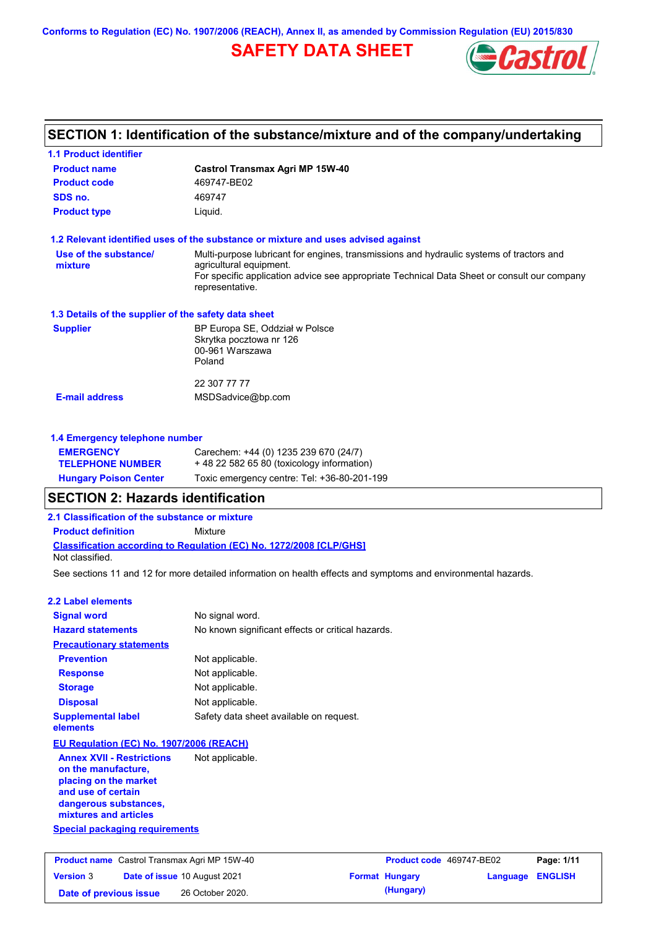**Conforms to Regulation (EC) No. 1907/2006 (REACH), Annex II, as amended by Commission Regulation (EU) 2015/830**

# **SAFETY DATA SHEET**



## **SECTION 1: Identification of the substance/mixture and of the company/undertaking**

| <b>1.1 Product identifier</b>                                                               |                                                                                                                                           |                          |                 |                |
|---------------------------------------------------------------------------------------------|-------------------------------------------------------------------------------------------------------------------------------------------|--------------------------|-----------------|----------------|
| <b>Product name</b>                                                                         | <b>Castrol Transmax Agri MP 15W-40</b>                                                                                                    |                          |                 |                |
| <b>Product code</b>                                                                         | 469747-BE02                                                                                                                               |                          |                 |                |
| SDS no.                                                                                     | 469747                                                                                                                                    |                          |                 |                |
| <b>Product type</b>                                                                         | Liquid.                                                                                                                                   |                          |                 |                |
|                                                                                             | 1.2 Relevant identified uses of the substance or mixture and uses advised against                                                         |                          |                 |                |
| Use of the substance/                                                                       | Multi-purpose lubricant for engines, transmissions and hydraulic systems of tractors and                                                  |                          |                 |                |
| mixture                                                                                     | agricultural equipment.<br>For specific application advice see appropriate Technical Data Sheet or consult our company<br>representative. |                          |                 |                |
| 1.3 Details of the supplier of the safety data sheet                                        |                                                                                                                                           |                          |                 |                |
| <b>Supplier</b>                                                                             | BP Europa SE, Oddział w Polsce                                                                                                            |                          |                 |                |
|                                                                                             | Skrytka pocztowa nr 126<br>00-961 Warszawa<br>Poland                                                                                      |                          |                 |                |
|                                                                                             | 22 307 77 77                                                                                                                              |                          |                 |                |
| <b>E-mail address</b>                                                                       | MSDSadvice@bp.com                                                                                                                         |                          |                 |                |
|                                                                                             |                                                                                                                                           |                          |                 |                |
| 1.4 Emergency telephone number                                                              |                                                                                                                                           |                          |                 |                |
| <b>EMERGENCY</b>                                                                            | Carechem: +44 (0) 1235 239 670 (24/7)                                                                                                     |                          |                 |                |
| <b>TELEPHONE NUMBER</b>                                                                     | +48 22 582 65 80 (toxicology information)                                                                                                 |                          |                 |                |
| <b>Hungary Poison Center</b>                                                                | Toxic emergency centre: Tel: +36-80-201-199                                                                                               |                          |                 |                |
| <b>SECTION 2: Hazards identification</b>                                                    |                                                                                                                                           |                          |                 |                |
| 2.1 Classification of the substance or mixture                                              |                                                                                                                                           |                          |                 |                |
| <b>Product definition</b>                                                                   | Mixture                                                                                                                                   |                          |                 |                |
| Not classified.                                                                             | <b>Classification according to Regulation (EC) No. 1272/2008 [CLP/GHS]</b>                                                                |                          |                 |                |
|                                                                                             | See sections 11 and 12 for more detailed information on health effects and symptoms and environmental hazards.                            |                          |                 |                |
| 2.2 Label elements                                                                          |                                                                                                                                           |                          |                 |                |
| <b>Signal word</b>                                                                          | No signal word.                                                                                                                           |                          |                 |                |
| <b>Hazard statements</b>                                                                    | No known significant effects or critical hazards.                                                                                         |                          |                 |                |
| <b>Precautionary statements</b>                                                             |                                                                                                                                           |                          |                 |                |
| <b>Prevention</b>                                                                           | Not applicable.                                                                                                                           |                          |                 |                |
| <b>Response</b>                                                                             | Not applicable.                                                                                                                           |                          |                 |                |
| <b>Storage</b>                                                                              | Not applicable.                                                                                                                           |                          |                 |                |
| <b>Disposal</b>                                                                             | Not applicable.                                                                                                                           |                          |                 |                |
| <b>Supplemental label</b><br>elements                                                       | Safety data sheet available on request.                                                                                                   |                          |                 |                |
| EU Regulation (EC) No. 1907/2006 (REACH)                                                    |                                                                                                                                           |                          |                 |                |
| <b>Annex XVII - Restrictions</b>                                                            | Not applicable.                                                                                                                           |                          |                 |                |
| on the manufacture,<br>placing on the market<br>and use of certain<br>dangerous substances, |                                                                                                                                           |                          |                 |                |
| mixtures and articles                                                                       |                                                                                                                                           |                          |                 |                |
| <b>Special packaging requirements</b>                                                       |                                                                                                                                           |                          |                 |                |
|                                                                                             |                                                                                                                                           |                          |                 |                |
| <b>Product name</b> Castrol Transmax Agri MP 15W-40                                         |                                                                                                                                           | Product code 469747-BE02 |                 | Page: 1/11     |
| <b>Version 3</b>                                                                            | Date of issue 10 August 2021                                                                                                              | <b>Format Hungary</b>    | <b>Language</b> | <b>ENGLISH</b> |
| Date of previous issue                                                                      | 26 October 2020.                                                                                                                          | (Hungary)                |                 |                |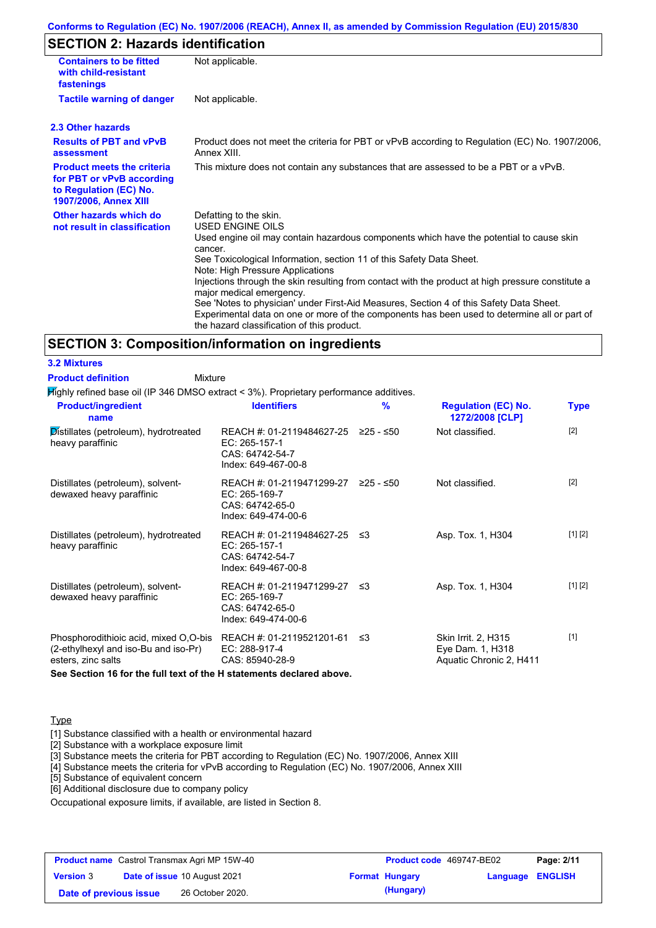#### **Conforms to Regulation (EC) No. 1907/2006 (REACH), Annex II, as amended by Commission Regulation (EU) 2015/830**

## **SECTION 2: Hazards identification**

| <b>Containers to be fitted</b><br>with child-resistant<br>fastenings                                                     | Not applicable.                                                                                                                                                                                                                                                                                                                                                                                                                                                                                                                                                                                                                        |
|--------------------------------------------------------------------------------------------------------------------------|----------------------------------------------------------------------------------------------------------------------------------------------------------------------------------------------------------------------------------------------------------------------------------------------------------------------------------------------------------------------------------------------------------------------------------------------------------------------------------------------------------------------------------------------------------------------------------------------------------------------------------------|
| <b>Tactile warning of danger</b>                                                                                         | Not applicable.                                                                                                                                                                                                                                                                                                                                                                                                                                                                                                                                                                                                                        |
| 2.3 Other hazards                                                                                                        |                                                                                                                                                                                                                                                                                                                                                                                                                                                                                                                                                                                                                                        |
| <b>Results of PBT and vPvB</b><br>assessment                                                                             | Product does not meet the criteria for PBT or vPvB according to Regulation (EC) No. 1907/2006,<br>Annex XIII.                                                                                                                                                                                                                                                                                                                                                                                                                                                                                                                          |
| <b>Product meets the criteria</b><br>for PBT or vPvB according<br>to Regulation (EC) No.<br><b>1907/2006, Annex XIII</b> | This mixture does not contain any substances that are assessed to be a PBT or a vPvB.                                                                                                                                                                                                                                                                                                                                                                                                                                                                                                                                                  |
| Other hazards which do<br>not result in classification                                                                   | Defatting to the skin.<br>USED ENGINE OILS<br>Used engine oil may contain hazardous components which have the potential to cause skin<br>cancer.<br>See Toxicological Information, section 11 of this Safety Data Sheet.<br>Note: High Pressure Applications<br>Injections through the skin resulting from contact with the product at high pressure constitute a<br>major medical emergency.<br>See 'Notes to physician' under First-Aid Measures, Section 4 of this Safety Data Sheet.<br>Experimental data on one or more of the components has been used to determine all or part of<br>the hazard classification of this product. |

#### **SECTION 3: Composition/information on ingredients**

**3.2 Mixtures Product definition**

Mixture

Highly refined base oil (IP 346 DMSO extract < 3%). Proprietary performance additives.

| <b>Product/ingredient</b><br>name                                                                   | <b>Identifiers</b>                                                                             | $\frac{9}{6}$ | <b>Regulation (EC) No.</b><br>1272/2008 [CLP]                      | <b>Type</b> |
|-----------------------------------------------------------------------------------------------------|------------------------------------------------------------------------------------------------|---------------|--------------------------------------------------------------------|-------------|
| Distillates (petroleum), hydrotreated<br>heavy paraffinic                                           | REACH #: 01-2119484627-25 ≥25 - ≤50<br>EC: 265-157-1<br>CAS: 64742-54-7<br>Index: 649-467-00-8 |               | Not classified.                                                    | $[2]$       |
| Distillates (petroleum), solvent-<br>dewaxed heavy paraffinic                                       | REACH #: 01-2119471299-27<br>EC: 265-169-7<br>CAS: 64742-65-0<br>Index: 649-474-00-6           | ≥25 - ≤50     | Not classified.                                                    | $[2]$       |
| Distillates (petroleum), hydrotreated<br>heavy paraffinic                                           | REACH #: 01-2119484627-25 ≤3<br>EC: 265-157-1<br>CAS: 64742-54-7<br>Index: 649-467-00-8        |               | Asp. Tox. 1, H304                                                  | [1] [2]     |
| Distillates (petroleum), solvent-<br>dewaxed heavy paraffinic                                       | REACH #: 01-2119471299-27 ≤3<br>EC: 265-169-7<br>CAS: 64742-65-0<br>Index: 649-474-00-6        |               | Asp. Tox. 1, H304                                                  | [1] [2]     |
| Phosphorodithioic acid, mixed O,O-bis<br>(2-ethylhexyl and iso-Bu and iso-Pr)<br>esters, zinc salts | REACH #: 01-2119521201-61<br>EC: 288-917-4<br>CAS: 85940-28-9                                  | ≲3            | Skin Irrit. 2, H315<br>Eye Dam. 1, H318<br>Aquatic Chronic 2, H411 | $[1]$       |
| See Section 16 for the full text of the H statements declared above.                                |                                                                                                |               |                                                                    |             |

**Type** 

[1] Substance classified with a health or environmental hazard

[2] Substance with a workplace exposure limit

[3] Substance meets the criteria for PBT according to Regulation (EC) No. 1907/2006, Annex XIII

[4] Substance meets the criteria for vPvB according to Regulation (EC) No. 1907/2006, Annex XIII

[5] Substance of equivalent concern

[6] Additional disclosure due to company policy

Occupational exposure limits, if available, are listed in Section 8.

| <b>Product name</b> Castrol Transmax Agri MP 15W-40 |  | Product code 469747-BE02            | Page: 2/11            |                  |  |
|-----------------------------------------------------|--|-------------------------------------|-----------------------|------------------|--|
| <b>Version 3</b>                                    |  | <b>Date of issue 10 August 2021</b> | <b>Format Hungary</b> | Language ENGLISH |  |
| Date of previous issue                              |  | 26 October 2020.                    | (Hungary)             |                  |  |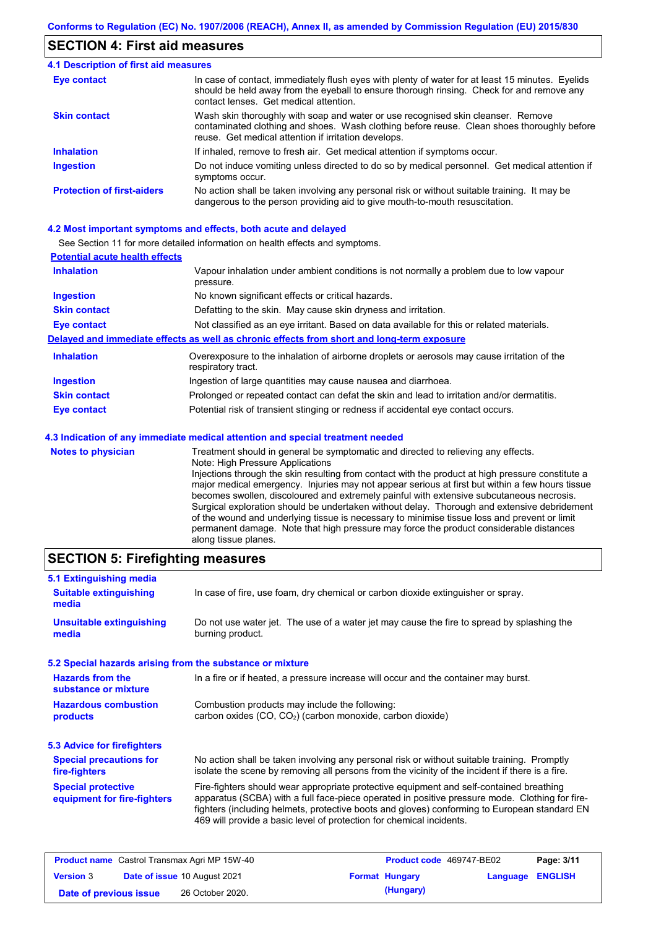#### **SECTION 4: First aid measures**

#### Do not induce vomiting unless directed to do so by medical personnel. Get medical attention if symptoms occur. In case of contact, immediately flush eyes with plenty of water for at least 15 minutes. Eyelids should be held away from the eyeball to ensure thorough rinsing. Check for and remove any contact lenses. Get medical attention. **4.1 Description of first aid measures** If inhaled, remove to fresh air. Get medical attention if symptoms occur. **Ingestion Inhalation Eye contact Protection of first-aiders** No action shall be taken involving any personal risk or without suitable training. It may be dangerous to the person providing aid to give mouth-to-mouth resuscitation. **Skin contact** Wash skin thoroughly with soap and water or use recognised skin cleanser. Remove contaminated clothing and shoes. Wash clothing before reuse. Clean shoes thoroughly before reuse. Get medical attention if irritation develops.

#### **4.2 Most important symptoms and effects, both acute and delayed**

See Section 11 for more detailed information on health effects and symptoms.

| <b>Potential acute health effects</b> |                                                                                                                   |
|---------------------------------------|-------------------------------------------------------------------------------------------------------------------|
| <b>Inhalation</b>                     | Vapour inhalation under ambient conditions is not normally a problem due to low vapour<br>pressure.               |
| <b>Ingestion</b>                      | No known significant effects or critical hazards.                                                                 |
| <b>Skin contact</b>                   | Defatting to the skin. May cause skin dryness and irritation.                                                     |
| <b>Eye contact</b>                    | Not classified as an eye irritant. Based on data available for this or related materials.                         |
|                                       | Delayed and immediate effects as well as chronic effects from short and long-term exposure                        |
| <b>Inhalation</b>                     | Overexposure to the inhalation of airborne droplets or aerosols may cause irritation of the<br>respiratory tract. |
| <b>Ingestion</b>                      | Ingestion of large quantities may cause nausea and diarrhoea.                                                     |
| <b>Skin contact</b>                   | Prolonged or repeated contact can defat the skin and lead to irritation and/or dermatitis.                        |
| Eye contact                           | Potential risk of transient stinging or redness if accidental eye contact occurs.                                 |
|                                       | 4.3 Indication of any immediate medical attention and special treatment needed                                    |
| Notes to physician                    | Treatment should in general he symptomatic and directed to relieving any effects                                  |

**es to physician** Treatment should in general be symptomatic and directed to relieving any effects. Note: High Pressure Applications Injections through the skin resulting from contact with the product at high pressure constitute a major medical emergency. Injuries may not appear serious at first but within a few hours tissue becomes swollen, discoloured and extremely painful with extensive subcutaneous necrosis. Surgical exploration should be undertaken without delay. Thorough and extensive debridement of the wound and underlying tissue is necessary to minimise tissue loss and prevent or limit permanent damage. Note that high pressure may force the product considerable distances along tissue planes.

## **SECTION 5: Firefighting measures**

| 5.1 Extinguishing media                                   |                                                                                                                                                                                                                                                                                                                                                                   |
|-----------------------------------------------------------|-------------------------------------------------------------------------------------------------------------------------------------------------------------------------------------------------------------------------------------------------------------------------------------------------------------------------------------------------------------------|
| <b>Suitable extinguishing</b><br>media                    | In case of fire, use foam, dry chemical or carbon dioxide extinguisher or spray.                                                                                                                                                                                                                                                                                  |
| <b>Unsuitable extinguishing</b><br>media                  | Do not use water jet. The use of a water jet may cause the fire to spread by splashing the<br>burning product.                                                                                                                                                                                                                                                    |
| 5.2 Special hazards arising from the substance or mixture |                                                                                                                                                                                                                                                                                                                                                                   |
| <b>Hazards from the</b><br>substance or mixture           | In a fire or if heated, a pressure increase will occur and the container may burst.                                                                                                                                                                                                                                                                               |
| <b>Hazardous combustion</b><br>products                   | Combustion products may include the following:<br>carbon oxides (CO, CO <sub>2</sub> ) (carbon monoxide, carbon dioxide)                                                                                                                                                                                                                                          |
| 5.3 Advice for firefighters                               |                                                                                                                                                                                                                                                                                                                                                                   |
| <b>Special precautions for</b><br>fire-fighters           | No action shall be taken involving any personal risk or without suitable training. Promptly<br>isolate the scene by removing all persons from the vicinity of the incident if there is a fire.                                                                                                                                                                    |
| <b>Special protective</b><br>equipment for fire-fighters  | Fire-fighters should wear appropriate protective equipment and self-contained breathing<br>apparatus (SCBA) with a full face-piece operated in positive pressure mode. Clothing for fire-<br>fighters (including helmets, protective boots and gloves) conforming to European standard EN<br>469 will provide a basic level of protection for chemical incidents. |

| <b>Product name</b> Castrol Transmax Agri MP 15W-40 |  | <b>Product code</b> 469747-BE02     |                       | Page: 3/11              |  |
|-----------------------------------------------------|--|-------------------------------------|-----------------------|-------------------------|--|
| <b>Version 3</b>                                    |  | <b>Date of issue 10 August 2021</b> | <b>Format Hungary</b> | <b>Language ENGLISH</b> |  |
| Date of previous issue                              |  | 26 October 2020.                    | (Hungary)             |                         |  |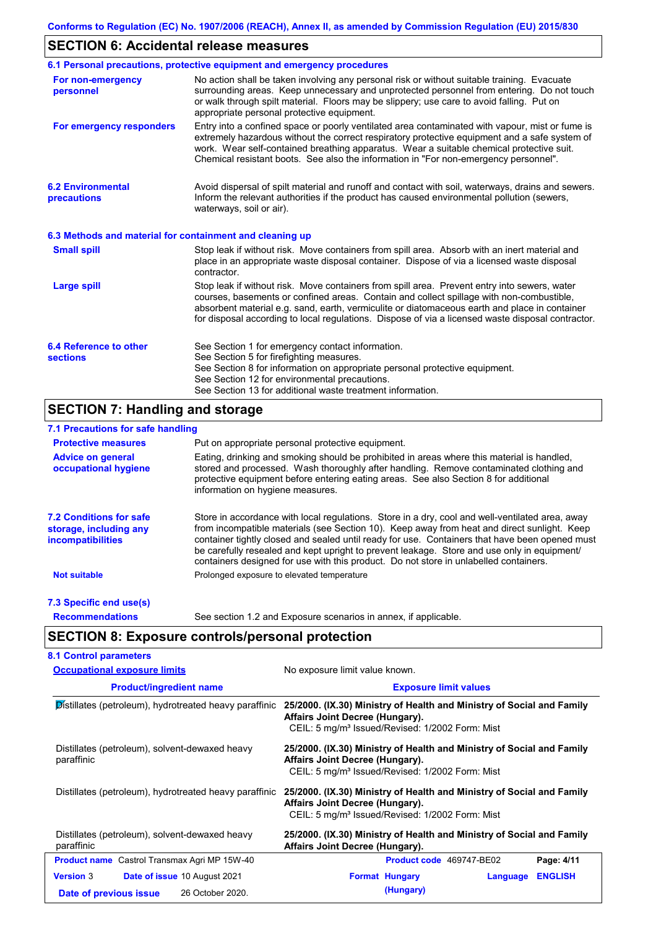## **SECTION 6: Accidental release measures**

|                                                          | 6.1 Personal precautions, protective equipment and emergency procedures                                                                                                                                                                                                                                                                                                                        |
|----------------------------------------------------------|------------------------------------------------------------------------------------------------------------------------------------------------------------------------------------------------------------------------------------------------------------------------------------------------------------------------------------------------------------------------------------------------|
| For non-emergency<br>personnel                           | No action shall be taken involving any personal risk or without suitable training. Evacuate<br>surrounding areas. Keep unnecessary and unprotected personnel from entering. Do not touch<br>or walk through spilt material. Floors may be slippery; use care to avoid falling. Put on<br>appropriate personal protective equipment.                                                            |
| For emergency responders                                 | Entry into a confined space or poorly ventilated area contaminated with vapour, mist or fume is<br>extremely hazardous without the correct respiratory protective equipment and a safe system of<br>work. Wear self-contained breathing apparatus. Wear a suitable chemical protective suit.<br>Chemical resistant boots. See also the information in "For non-emergency personnel".           |
| <b>6.2 Environmental</b><br>precautions                  | Avoid dispersal of spilt material and runoff and contact with soil, waterways, drains and sewers.<br>Inform the relevant authorities if the product has caused environmental pollution (sewers,<br>waterways, soil or air).                                                                                                                                                                    |
| 6.3 Methods and material for containment and cleaning up |                                                                                                                                                                                                                                                                                                                                                                                                |
| <b>Small spill</b>                                       | Stop leak if without risk. Move containers from spill area. Absorb with an inert material and<br>place in an appropriate waste disposal container. Dispose of via a licensed waste disposal<br>contractor.                                                                                                                                                                                     |
| <b>Large spill</b>                                       | Stop leak if without risk. Move containers from spill area. Prevent entry into sewers, water<br>courses, basements or confined areas. Contain and collect spillage with non-combustible,<br>absorbent material e.g. sand, earth, vermiculite or diatomaceous earth and place in container<br>for disposal according to local regulations. Dispose of via a licensed waste disposal contractor. |
| 6.4 Reference to other<br><b>sections</b>                | See Section 1 for emergency contact information.<br>See Section 5 for firefighting measures.<br>See Section 8 for information on appropriate personal protective equipment.<br>See Section 12 for environmental precautions.<br>See Section 13 for additional waste treatment information.                                                                                                     |

# **SECTION 7: Handling and storage**

## **7.1 Precautions for safe handling**

| <b>Protective measures</b>                                                           | Put on appropriate personal protective equipment.                                                                                                                                                                                                                                                                                                                                                                                                                                        |
|--------------------------------------------------------------------------------------|------------------------------------------------------------------------------------------------------------------------------------------------------------------------------------------------------------------------------------------------------------------------------------------------------------------------------------------------------------------------------------------------------------------------------------------------------------------------------------------|
| <b>Advice on general</b><br>occupational hygiene                                     | Eating, drinking and smoking should be prohibited in areas where this material is handled,<br>stored and processed. Wash thoroughly after handling. Remove contaminated clothing and<br>protective equipment before entering eating areas. See also Section 8 for additional<br>information on hygiene measures.                                                                                                                                                                         |
| <b>7.2 Conditions for safe</b><br>storage, including any<br><i>incompatibilities</i> | Store in accordance with local regulations. Store in a dry, cool and well-ventilated area, away<br>from incompatible materials (see Section 10). Keep away from heat and direct sunlight. Keep<br>container tightly closed and sealed until ready for use. Containers that have been opened must<br>be carefully resealed and kept upright to prevent leakage. Store and use only in equipment/<br>containers designed for use with this product. Do not store in unlabelled containers. |
| <b>Not suitable</b>                                                                  | Prolonged exposure to elevated temperature                                                                                                                                                                                                                                                                                                                                                                                                                                               |
| 7.3 Specific end use(s)                                                              |                                                                                                                                                                                                                                                                                                                                                                                                                                                                                          |
| <b>Recommendations</b>                                                               | See section 1.2 and Exposure scenarios in annex, if applicable.                                                                                                                                                                                                                                                                                                                                                                                                                          |

# **SECTION 8: Exposure controls/personal protection**

| <b>Occupational exposure limits</b>                          | No exposure limit value known.                                                                                                                                          |  |  |  |
|--------------------------------------------------------------|-------------------------------------------------------------------------------------------------------------------------------------------------------------------------|--|--|--|
| <b>Product/ingredient name</b>                               | <b>Exposure limit values</b>                                                                                                                                            |  |  |  |
| Distillates (petroleum), hydrotreated heavy paraffinic       | 25/2000. (IX.30) Ministry of Health and Ministry of Social and Family<br>Affairs Joint Decree (Hungary).<br>CEIL: 5 mg/m <sup>3</sup> Issued/Revised: 1/2002 Form: Mist |  |  |  |
| Distillates (petroleum), solvent-dewaxed heavy<br>paraffinic | 25/2000. (IX.30) Ministry of Health and Ministry of Social and Family<br>Affairs Joint Decree (Hungary).<br>CEIL: 5 mg/m <sup>3</sup> Issued/Revised: 1/2002 Form: Mist |  |  |  |
| Distillates (petroleum), hydrotreated heavy paraffinic       | 25/2000. (IX.30) Ministry of Health and Ministry of Social and Family<br>Affairs Joint Decree (Hungary).<br>CEIL: 5 mg/m <sup>3</sup> Issued/Revised: 1/2002 Form: Mist |  |  |  |
| Distillates (petroleum), solvent-dewaxed heavy<br>paraffinic | 25/2000. (IX.30) Ministry of Health and Ministry of Social and Family<br>Affairs Joint Decree (Hungary).                                                                |  |  |  |
| <b>Product name</b> Castrol Transmax Agri MP 15W-40          | Product code 469747-BE02<br>Page: 4/11                                                                                                                                  |  |  |  |
| Date of issue 10 August 2021<br><b>Version 3</b>             | <b>ENGLISH</b><br><b>Format Hungary</b><br>Language                                                                                                                     |  |  |  |
| 26 October 2020.<br>Date of previous issue                   | (Hungary)                                                                                                                                                               |  |  |  |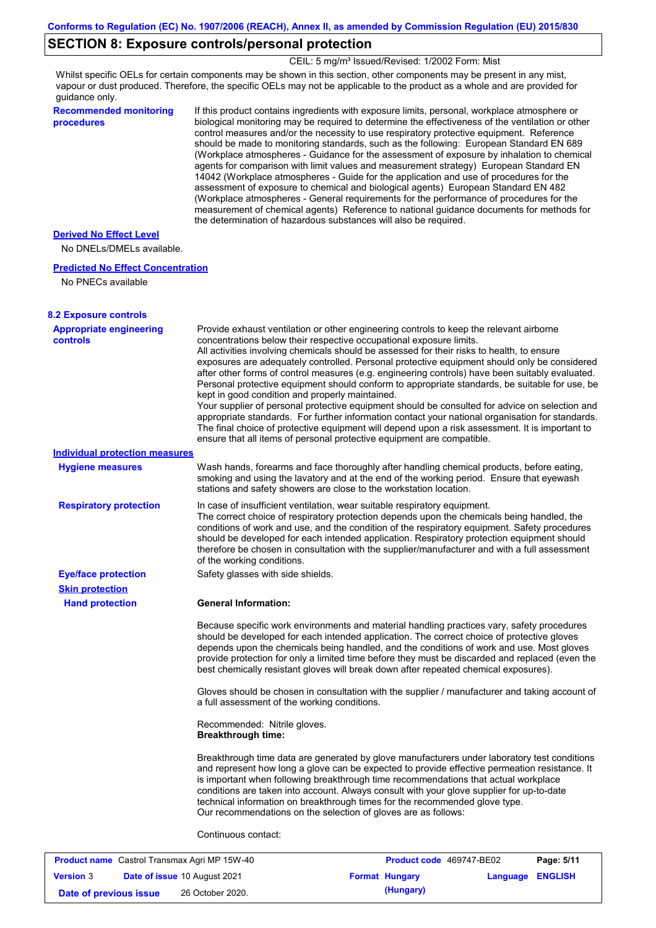## **SECTION 8: Exposure controls/personal protection**

CEIL: 5 mg/m<sup>3</sup> Issued/Revised: 1/2002 Form: Mist

Whilst specific OELs for certain components may be shown in this section, other components may be present in any mist, vapour or dust produced. Therefore, the specific OELs may not be applicable to the product as a whole and are provided for guidance only.

**Recommended monitoring procedures** If this product contains ingredients with exposure limits, personal, workplace atmosphere or biological monitoring may be required to determine the effectiveness of the ventilation or other control measures and/or the necessity to use respiratory protective equipment. Reference should be made to monitoring standards, such as the following: European Standard EN 689 (Workplace atmospheres - Guidance for the assessment of exposure by inhalation to chemical agents for comparison with limit values and measurement strategy) European Standard EN 14042 (Workplace atmospheres - Guide for the application and use of procedures for the assessment of exposure to chemical and biological agents) European Standard EN 482 (Workplace atmospheres - General requirements for the performance of procedures for the measurement of chemical agents) Reference to national guidance documents for methods for the determination of hazardous substances will also be required.

#### **Derived No Effect Level**

No DNELs/DMELs available.

#### **Predicted No Effect Concentration**

No PNECs available

| <b>8.2 Exposure controls</b><br><b>Appropriate engineering</b><br>Provide exhaust ventilation or other engineering controls to keep the relevant airborne<br>concentrations below their respective occupational exposure limits.<br><b>controls</b><br>All activities involving chemicals should be assessed for their risks to health, to ensure<br>kept in good condition and properly maintained.<br>ensure that all items of personal protective equipment are compatible.<br><b>Individual protection measures</b><br>Wash hands, forearms and face thoroughly after handling chemical products, before eating,<br><b>Hygiene measures</b><br>smoking and using the lavatory and at the end of the working period. Ensure that eyewash<br>stations and safety showers are close to the workstation location.<br><b>Respiratory protection</b><br>In case of insufficient ventilation, wear suitable respiratory equipment.<br>of the working conditions.<br><b>Eye/face protection</b><br>Safety glasses with side shields.<br><b>Skin protection</b><br><b>General Information:</b><br><b>Hand protection</b><br>should be developed for each intended application. The correct choice of protective gloves<br>best chemically resistant gloves will break down after repeated chemical exposures).<br>a full assessment of the working conditions.<br>Recommended: Nitrile gloves.<br><b>Breakthrough time:</b><br>is important when following breakthrough time recommendations that actual workplace<br>conditions are taken into account. Always consult with your glove supplier for up-to-date<br>technical information on breakthrough times for the recommended glove type.<br>Our recommendations on the selection of gloves are as follows:<br>Continuous contact: |                                                                                                                                                                                                                                                                                                                                                                                                                                                                                                                                                                                                            |
|------------------------------------------------------------------------------------------------------------------------------------------------------------------------------------------------------------------------------------------------------------------------------------------------------------------------------------------------------------------------------------------------------------------------------------------------------------------------------------------------------------------------------------------------------------------------------------------------------------------------------------------------------------------------------------------------------------------------------------------------------------------------------------------------------------------------------------------------------------------------------------------------------------------------------------------------------------------------------------------------------------------------------------------------------------------------------------------------------------------------------------------------------------------------------------------------------------------------------------------------------------------------------------------------------------------------------------------------------------------------------------------------------------------------------------------------------------------------------------------------------------------------------------------------------------------------------------------------------------------------------------------------------------------------------------------------------------------------------------------------------------------------------------|------------------------------------------------------------------------------------------------------------------------------------------------------------------------------------------------------------------------------------------------------------------------------------------------------------------------------------------------------------------------------------------------------------------------------------------------------------------------------------------------------------------------------------------------------------------------------------------------------------|
|                                                                                                                                                                                                                                                                                                                                                                                                                                                                                                                                                                                                                                                                                                                                                                                                                                                                                                                                                                                                                                                                                                                                                                                                                                                                                                                                                                                                                                                                                                                                                                                                                                                                                                                                                                                    |                                                                                                                                                                                                                                                                                                                                                                                                                                                                                                                                                                                                            |
|                                                                                                                                                                                                                                                                                                                                                                                                                                                                                                                                                                                                                                                                                                                                                                                                                                                                                                                                                                                                                                                                                                                                                                                                                                                                                                                                                                                                                                                                                                                                                                                                                                                                                                                                                                                    | exposures are adequately controlled. Personal protective equipment should only be considered<br>after other forms of control measures (e.g. engineering controls) have been suitably evaluated.<br>Personal protective equipment should conform to appropriate standards, be suitable for use, be<br>Your supplier of personal protective equipment should be consulted for advice on selection and<br>appropriate standards. For further information contact your national organisation for standards.<br>The final choice of protective equipment will depend upon a risk assessment. It is important to |
|                                                                                                                                                                                                                                                                                                                                                                                                                                                                                                                                                                                                                                                                                                                                                                                                                                                                                                                                                                                                                                                                                                                                                                                                                                                                                                                                                                                                                                                                                                                                                                                                                                                                                                                                                                                    |                                                                                                                                                                                                                                                                                                                                                                                                                                                                                                                                                                                                            |
|                                                                                                                                                                                                                                                                                                                                                                                                                                                                                                                                                                                                                                                                                                                                                                                                                                                                                                                                                                                                                                                                                                                                                                                                                                                                                                                                                                                                                                                                                                                                                                                                                                                                                                                                                                                    |                                                                                                                                                                                                                                                                                                                                                                                                                                                                                                                                                                                                            |
|                                                                                                                                                                                                                                                                                                                                                                                                                                                                                                                                                                                                                                                                                                                                                                                                                                                                                                                                                                                                                                                                                                                                                                                                                                                                                                                                                                                                                                                                                                                                                                                                                                                                                                                                                                                    | The correct choice of respiratory protection depends upon the chemicals being handled, the<br>conditions of work and use, and the condition of the respiratory equipment. Safety procedures<br>should be developed for each intended application. Respiratory protection equipment should<br>therefore be chosen in consultation with the supplier/manufacturer and with a full assessment                                                                                                                                                                                                                 |
|                                                                                                                                                                                                                                                                                                                                                                                                                                                                                                                                                                                                                                                                                                                                                                                                                                                                                                                                                                                                                                                                                                                                                                                                                                                                                                                                                                                                                                                                                                                                                                                                                                                                                                                                                                                    |                                                                                                                                                                                                                                                                                                                                                                                                                                                                                                                                                                                                            |
|                                                                                                                                                                                                                                                                                                                                                                                                                                                                                                                                                                                                                                                                                                                                                                                                                                                                                                                                                                                                                                                                                                                                                                                                                                                                                                                                                                                                                                                                                                                                                                                                                                                                                                                                                                                    |                                                                                                                                                                                                                                                                                                                                                                                                                                                                                                                                                                                                            |
|                                                                                                                                                                                                                                                                                                                                                                                                                                                                                                                                                                                                                                                                                                                                                                                                                                                                                                                                                                                                                                                                                                                                                                                                                                                                                                                                                                                                                                                                                                                                                                                                                                                                                                                                                                                    |                                                                                                                                                                                                                                                                                                                                                                                                                                                                                                                                                                                                            |
|                                                                                                                                                                                                                                                                                                                                                                                                                                                                                                                                                                                                                                                                                                                                                                                                                                                                                                                                                                                                                                                                                                                                                                                                                                                                                                                                                                                                                                                                                                                                                                                                                                                                                                                                                                                    | Because specific work environments and material handling practices vary, safety procedures<br>depends upon the chemicals being handled, and the conditions of work and use. Most gloves<br>provide protection for only a limited time before they must be discarded and replaced (even the                                                                                                                                                                                                                                                                                                                 |
|                                                                                                                                                                                                                                                                                                                                                                                                                                                                                                                                                                                                                                                                                                                                                                                                                                                                                                                                                                                                                                                                                                                                                                                                                                                                                                                                                                                                                                                                                                                                                                                                                                                                                                                                                                                    | Gloves should be chosen in consultation with the supplier / manufacturer and taking account of                                                                                                                                                                                                                                                                                                                                                                                                                                                                                                             |
|                                                                                                                                                                                                                                                                                                                                                                                                                                                                                                                                                                                                                                                                                                                                                                                                                                                                                                                                                                                                                                                                                                                                                                                                                                                                                                                                                                                                                                                                                                                                                                                                                                                                                                                                                                                    |                                                                                                                                                                                                                                                                                                                                                                                                                                                                                                                                                                                                            |
|                                                                                                                                                                                                                                                                                                                                                                                                                                                                                                                                                                                                                                                                                                                                                                                                                                                                                                                                                                                                                                                                                                                                                                                                                                                                                                                                                                                                                                                                                                                                                                                                                                                                                                                                                                                    | Breakthrough time data are generated by glove manufacturers under laboratory test conditions<br>and represent how long a glove can be expected to provide effective permeation resistance. It                                                                                                                                                                                                                                                                                                                                                                                                              |

| <b>Product name</b> Castrol Transmax Agri MP 15W-40 |  |                                     | Product code 469747-BE02 | Page: 5/11            |                         |  |
|-----------------------------------------------------|--|-------------------------------------|--------------------------|-----------------------|-------------------------|--|
| <b>Version 3</b>                                    |  | <b>Date of issue 10 August 2021</b> |                          | <b>Format Hungary</b> | <b>Language ENGLISH</b> |  |
| Date of previous issue                              |  | 26 October 2020.                    |                          | (Hungary)             |                         |  |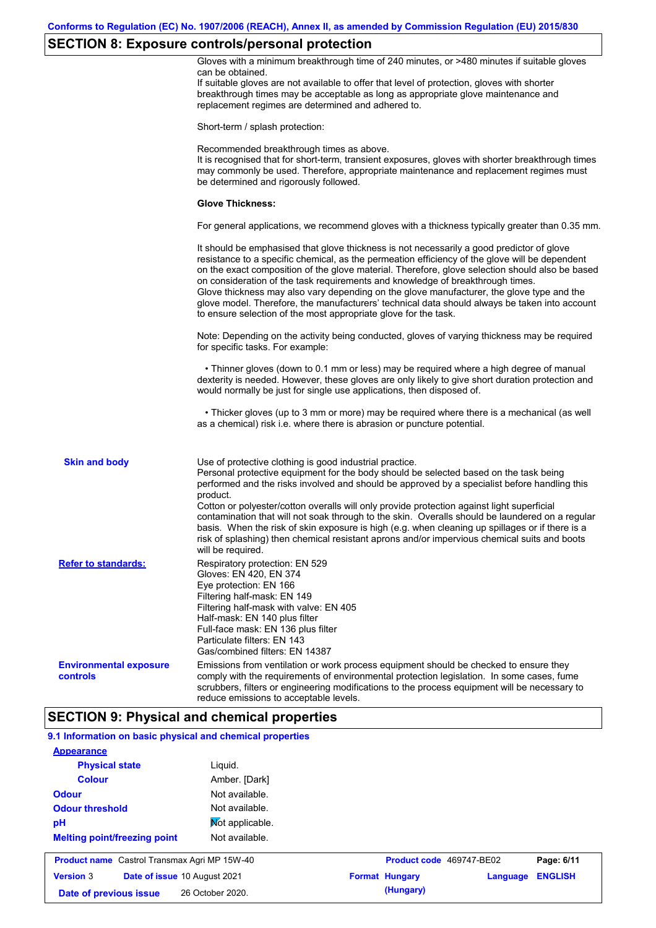# **SECTION 8: Exposure controls/personal protection**

|                                                           | $\sim$<br>Gloves with a minimum breakthrough time of 240 minutes, or >480 minutes if suitable gloves                                                                                                                                                                                                                                                                                                                                                                                                                                                                                                                                                                                  |
|-----------------------------------------------------------|---------------------------------------------------------------------------------------------------------------------------------------------------------------------------------------------------------------------------------------------------------------------------------------------------------------------------------------------------------------------------------------------------------------------------------------------------------------------------------------------------------------------------------------------------------------------------------------------------------------------------------------------------------------------------------------|
|                                                           | can be obtained.<br>If suitable gloves are not available to offer that level of protection, gloves with shorter<br>breakthrough times may be acceptable as long as appropriate glove maintenance and<br>replacement regimes are determined and adhered to.                                                                                                                                                                                                                                                                                                                                                                                                                            |
|                                                           | Short-term / splash protection:                                                                                                                                                                                                                                                                                                                                                                                                                                                                                                                                                                                                                                                       |
|                                                           | Recommended breakthrough times as above.<br>It is recognised that for short-term, transient exposures, gloves with shorter breakthrough times<br>may commonly be used. Therefore, appropriate maintenance and replacement regimes must<br>be determined and rigorously followed.                                                                                                                                                                                                                                                                                                                                                                                                      |
|                                                           | <b>Glove Thickness:</b>                                                                                                                                                                                                                                                                                                                                                                                                                                                                                                                                                                                                                                                               |
|                                                           | For general applications, we recommend gloves with a thickness typically greater than 0.35 mm.                                                                                                                                                                                                                                                                                                                                                                                                                                                                                                                                                                                        |
|                                                           | It should be emphasised that glove thickness is not necessarily a good predictor of glove<br>resistance to a specific chemical, as the permeation efficiency of the glove will be dependent<br>on the exact composition of the glove material. Therefore, glove selection should also be based<br>on consideration of the task requirements and knowledge of breakthrough times.<br>Glove thickness may also vary depending on the glove manufacturer, the glove type and the<br>glove model. Therefore, the manufacturers' technical data should always be taken into account<br>to ensure selection of the most appropriate glove for the task.                                     |
|                                                           | Note: Depending on the activity being conducted, gloves of varying thickness may be required<br>for specific tasks. For example:                                                                                                                                                                                                                                                                                                                                                                                                                                                                                                                                                      |
|                                                           | • Thinner gloves (down to 0.1 mm or less) may be required where a high degree of manual<br>dexterity is needed. However, these gloves are only likely to give short duration protection and<br>would normally be just for single use applications, then disposed of.                                                                                                                                                                                                                                                                                                                                                                                                                  |
|                                                           | • Thicker gloves (up to 3 mm or more) may be required where there is a mechanical (as well<br>as a chemical) risk i.e. where there is abrasion or puncture potential.                                                                                                                                                                                                                                                                                                                                                                                                                                                                                                                 |
| <b>Skin and body</b>                                      | Use of protective clothing is good industrial practice.<br>Personal protective equipment for the body should be selected based on the task being<br>performed and the risks involved and should be approved by a specialist before handling this<br>product.<br>Cotton or polyester/cotton overalls will only provide protection against light superficial<br>contamination that will not soak through to the skin. Overalls should be laundered on a regular<br>basis. When the risk of skin exposure is high (e.g. when cleaning up spillages or if there is a<br>risk of splashing) then chemical resistant aprons and/or impervious chemical suits and boots<br>will be required. |
| <b>Refer to standards:</b>                                | Respiratory protection: EN 529<br>Gloves: EN 420, EN 374<br>Eye protection: EN 166<br>Filtering half-mask: EN 149<br>Filtering half-mask with valve: EN 405<br>Half-mask: EN 140 plus filter<br>Full-face mask: EN 136 plus filter<br>Particulate filters: EN 143<br>Gas/combined filters: EN 14387                                                                                                                                                                                                                                                                                                                                                                                   |
| <b>Environmental exposure</b><br>controls                 | Emissions from ventilation or work process equipment should be checked to ensure they<br>comply with the requirements of environmental protection legislation. In some cases, fume<br>scrubbers, filters or engineering modifications to the process equipment will be necessary to<br>reduce emissions to acceptable levels.                                                                                                                                                                                                                                                                                                                                                         |
|                                                           | <b>SECTION 9: Physical and chemical properties</b>                                                                                                                                                                                                                                                                                                                                                                                                                                                                                                                                                                                                                                    |
| 9.1 Information on basic physical and chemical properties |                                                                                                                                                                                                                                                                                                                                                                                                                                                                                                                                                                                                                                                                                       |
| <b>Appearance</b>                                         |                                                                                                                                                                                                                                                                                                                                                                                                                                                                                                                                                                                                                                                                                       |
| <b>Physical state</b>                                     | Liquid.                                                                                                                                                                                                                                                                                                                                                                                                                                                                                                                                                                                                                                                                               |
| <b>Colour</b>                                             | Amber. [Dark]                                                                                                                                                                                                                                                                                                                                                                                                                                                                                                                                                                                                                                                                         |
| <b>Odour</b>                                              | Not available.                                                                                                                                                                                                                                                                                                                                                                                                                                                                                                                                                                                                                                                                        |
| <b>Odour threshold</b>                                    | Not available.                                                                                                                                                                                                                                                                                                                                                                                                                                                                                                                                                                                                                                                                        |
| рH                                                        | Mot applicable.                                                                                                                                                                                                                                                                                                                                                                                                                                                                                                                                                                                                                                                                       |

|                        | <b>Product name</b> Castrol Transmax Agri MP 15W-40 |                       | Product code 469747-BE02 | Page: 6/11 |
|------------------------|-----------------------------------------------------|-----------------------|--------------------------|------------|
| <b>Version 3</b>       | <b>Date of issue 10 August 2021</b>                 | <b>Format Hungary</b> | <b>Language ENGLISH</b>  |            |
| Date of previous issue | 26 October 2020.                                    | (Hungary)             |                          |            |

Not available.

**Melting point/freezing point**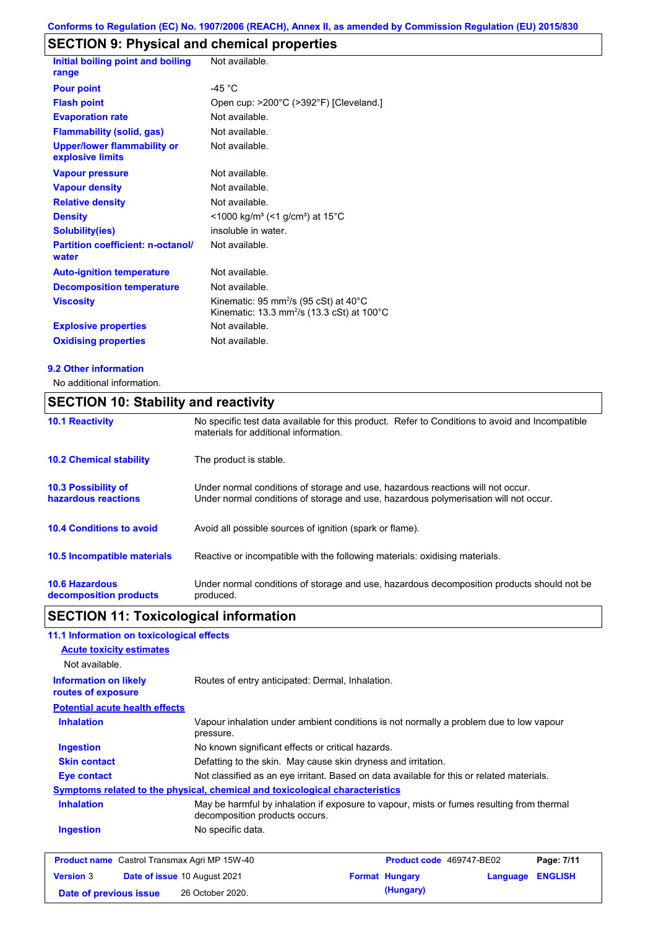# **SECTION 9: Physical and chemical properties**

| Initial boiling point and boiling<br>range             | Not available.                                                                                                                    |
|--------------------------------------------------------|-----------------------------------------------------------------------------------------------------------------------------------|
| <b>Pour point</b>                                      | $-45 °C$                                                                                                                          |
| <b>Flash point</b>                                     | Open cup: >200°C (>392°F) [Cleveland.]                                                                                            |
| <b>Evaporation rate</b>                                | Not available.                                                                                                                    |
| <b>Flammability (solid, gas)</b>                       | Not available.                                                                                                                    |
| <b>Upper/lower flammability or</b><br>explosive limits | Not available.                                                                                                                    |
| <b>Vapour pressure</b>                                 | Not available.                                                                                                                    |
| <b>Vapour density</b>                                  | Not available.                                                                                                                    |
| <b>Relative density</b>                                | Not available.                                                                                                                    |
| <b>Density</b>                                         | <1000 kg/m <sup>3</sup> (<1 g/cm <sup>3</sup> ) at 15°C                                                                           |
| <b>Solubility(ies)</b>                                 | insoluble in water.                                                                                                               |
| <b>Partition coefficient: n-octanol/</b><br>water      | Not available.                                                                                                                    |
| <b>Auto-ignition temperature</b>                       | Not available.                                                                                                                    |
| <b>Decomposition temperature</b>                       | Not available.                                                                                                                    |
| <b>Viscosity</b>                                       | Kinematic: 95 mm <sup>2</sup> /s (95 cSt) at 40 $^{\circ}$ C<br>Kinematic: 13.3 mm <sup>2</sup> /s (13.3 cSt) at 100 $^{\circ}$ C |
| <b>Explosive properties</b>                            | Not available.                                                                                                                    |
| <b>Oxidising properties</b>                            | Not available.                                                                                                                    |

#### **9.2 Other information**

No additional information.

## **SECTION 10: Stability and reactivity**

| <b>10.1 Reactivity</b>                            | No specific test data available for this product. Refer to Conditions to avoid and Incompatible<br>materials for additional information.                                |
|---------------------------------------------------|-------------------------------------------------------------------------------------------------------------------------------------------------------------------------|
| <b>10.2 Chemical stability</b>                    | The product is stable.                                                                                                                                                  |
| <b>10.3 Possibility of</b><br>hazardous reactions | Under normal conditions of storage and use, hazardous reactions will not occur.<br>Under normal conditions of storage and use, hazardous polymerisation will not occur. |
| <b>10.4 Conditions to avoid</b>                   | Avoid all possible sources of ignition (spark or flame).                                                                                                                |
| <b>10.5 Incompatible materials</b>                | Reactive or incompatible with the following materials: oxidising materials.                                                                                             |
| <b>10.6 Hazardous</b><br>decomposition products   | Under normal conditions of storage and use, hazardous decomposition products should not be<br>produced.                                                                 |

## **SECTION 11: Toxicological information**

## **11.1 Information on toxicological effects**

| 11.1 milomaalon on toxicological enects                                      |                                |                                                                                           |                          |          |                |
|------------------------------------------------------------------------------|--------------------------------|-------------------------------------------------------------------------------------------|--------------------------|----------|----------------|
| <b>Acute toxicity estimates</b>                                              |                                |                                                                                           |                          |          |                |
| Not available.                                                               |                                |                                                                                           |                          |          |                |
| <b>Information on likely</b><br>routes of exposure                           |                                | Routes of entry anticipated: Dermal, Inhalation.                                          |                          |          |                |
| <b>Potential acute health effects</b>                                        |                                |                                                                                           |                          |          |                |
| <b>Inhalation</b>                                                            | pressure.                      | Vapour inhalation under ambient conditions is not normally a problem due to low vapour    |                          |          |                |
| <b>Ingestion</b>                                                             |                                | No known significant effects or critical hazards.                                         |                          |          |                |
| <b>Skin contact</b>                                                          |                                | Defatting to the skin. May cause skin dryness and irritation.                             |                          |          |                |
| Eye contact                                                                  |                                | Not classified as an eye irritant. Based on data available for this or related materials. |                          |          |                |
| Symptoms related to the physical, chemical and toxicological characteristics |                                |                                                                                           |                          |          |                |
| <b>Inhalation</b>                                                            | decomposition products occurs. | May be harmful by inhalation if exposure to vapour, mists or fumes resulting from thermal |                          |          |                |
| <b>Ingestion</b>                                                             | No specific data.              |                                                                                           |                          |          |                |
| <b>Product name</b> Castrol Transmax Agri MP 15W-40                          |                                |                                                                                           | Product code 469747-BE02 |          | Page: 7/11     |
| <b>Version 3</b><br>Date of issue 10 August 2021                             |                                |                                                                                           | <b>Format Hungary</b>    | Language | <b>ENGLISH</b> |

**Date of previous issue (Hungary)** 26 October 2020.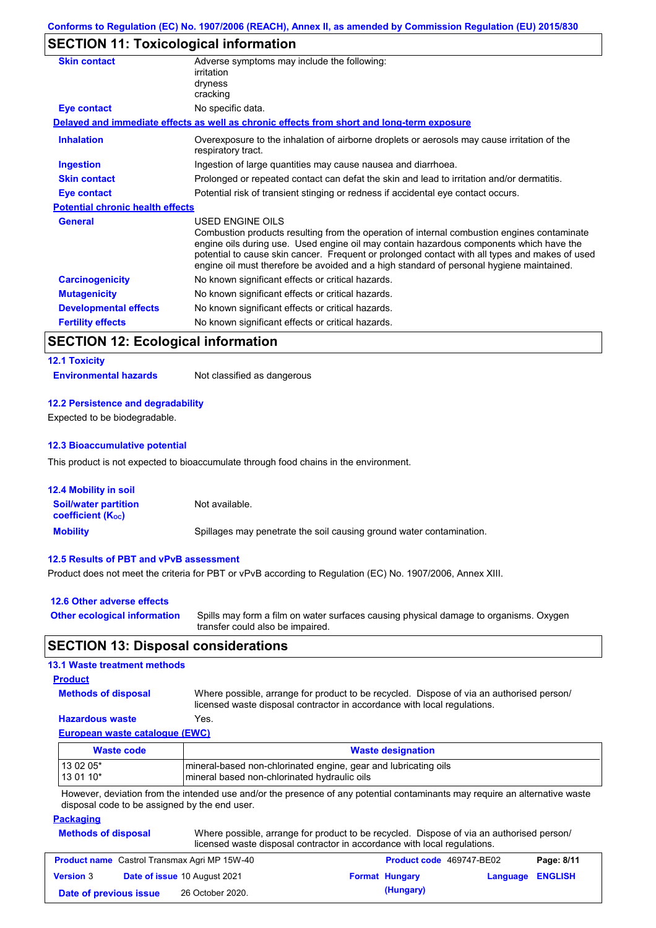## **SECTION 11: Toxicological information**

| <b>Skin contact</b>                     | Adverse symptoms may include the following:<br>irritation                                                                                                                                                                                                                                                                                                                                                       |
|-----------------------------------------|-----------------------------------------------------------------------------------------------------------------------------------------------------------------------------------------------------------------------------------------------------------------------------------------------------------------------------------------------------------------------------------------------------------------|
|                                         | dryness<br>cracking                                                                                                                                                                                                                                                                                                                                                                                             |
| <b>Eye contact</b>                      | No specific data.                                                                                                                                                                                                                                                                                                                                                                                               |
|                                         | Delayed and immediate effects as well as chronic effects from short and long-term exposure                                                                                                                                                                                                                                                                                                                      |
| <b>Inhalation</b>                       | Overexposure to the inhalation of airborne droplets or aerosols may cause irritation of the<br>respiratory tract.                                                                                                                                                                                                                                                                                               |
| <b>Ingestion</b>                        | Ingestion of large quantities may cause nausea and diarrhoea.                                                                                                                                                                                                                                                                                                                                                   |
| <b>Skin contact</b>                     | Prolonged or repeated contact can defat the skin and lead to irritation and/or dermatitis.                                                                                                                                                                                                                                                                                                                      |
| Eye contact                             | Potential risk of transient stinging or redness if accidental eye contact occurs.                                                                                                                                                                                                                                                                                                                               |
| <b>Potential chronic health effects</b> |                                                                                                                                                                                                                                                                                                                                                                                                                 |
| <b>General</b>                          | <b>USED ENGINE OILS</b><br>Combustion products resulting from the operation of internal combustion engines contaminate<br>engine oils during use. Used engine oil may contain hazardous components which have the<br>potential to cause skin cancer. Frequent or prolonged contact with all types and makes of used<br>engine oil must therefore be avoided and a high standard of personal hygiene maintained. |
| <b>Carcinogenicity</b>                  | No known significant effects or critical hazards.                                                                                                                                                                                                                                                                                                                                                               |
| <b>Mutagenicity</b>                     | No known significant effects or critical hazards.                                                                                                                                                                                                                                                                                                                                                               |
| <b>Developmental effects</b>            | No known significant effects or critical hazards.                                                                                                                                                                                                                                                                                                                                                               |
| <b>Fertility effects</b>                | No known significant effects or critical hazards.                                                                                                                                                                                                                                                                                                                                                               |

## **SECTION 12: Ecological information**

## **12.1 Toxicity Environmental hazards** Not classified as dangerous

#### **12.2 Persistence and degradability**

Expected to be biodegradable.

#### **12.3 Bioaccumulative potential**

This product is not expected to bioaccumulate through food chains in the environment.

| <b>12.4 Mobility in soil</b>                            |                                                                      |
|---------------------------------------------------------|----------------------------------------------------------------------|
| <b>Soil/water partition</b><br><b>coefficient (Koc)</b> | Not available.                                                       |
| <b>Mobility</b>                                         | Spillages may penetrate the soil causing ground water contamination. |

#### **12.5 Results of PBT and vPvB assessment**

Product does not meet the criteria for PBT or vPvB according to Regulation (EC) No. 1907/2006, Annex XIII.

| 12.6 Other adverse effects          |                                                                                                                           |
|-------------------------------------|---------------------------------------------------------------------------------------------------------------------------|
| <b>Other ecological information</b> | Spills may form a film on water surfaces causing physical damage to organisms. Oxygen<br>transfer could also be impaired. |

## **SECTION 13: Disposal considerations**

#### **13.1 Waste treatment methods**

#### **Product**

**Methods of disposal**

Where possible, arrange for product to be recycled. Dispose of via an authorised person/ licensed waste disposal contractor in accordance with local regulations.

#### **Hazardous waste** Yes.

**European waste catalogue (EWC)**

| Waste code | <b>Waste designation</b>                                         |
|------------|------------------------------------------------------------------|
| 13 02 05*  | Imineral-based non-chlorinated engine, gear and lubricating oils |
| $130110*$  | Imineral based non-chlorinated hydraulic oils                    |

However, deviation from the intended use and/or the presence of any potential contaminants may require an alternative waste disposal code to be assigned by the end user.

#### **Packaging Methods**

| of disposal | Where possible, arrange for product to be recycled. Dispose of via an authorised person/ |
|-------------|------------------------------------------------------------------------------------------|
|             | licensed waste disposal contractor in accordance with local regulations.                 |

|                        | <b>Product name</b> Castrol Transmax Agri MP 15W-40 | <b>Product code</b> 469747-BE02 |                  | Page: 8/11 |
|------------------------|-----------------------------------------------------|---------------------------------|------------------|------------|
| <b>Version 3</b>       | <b>Date of issue 10 August 2021</b>                 | <b>Format Hungary</b>           | Language ENGLISH |            |
| Date of previous issue | 26 October 2020.                                    | (Hungary)                       |                  |            |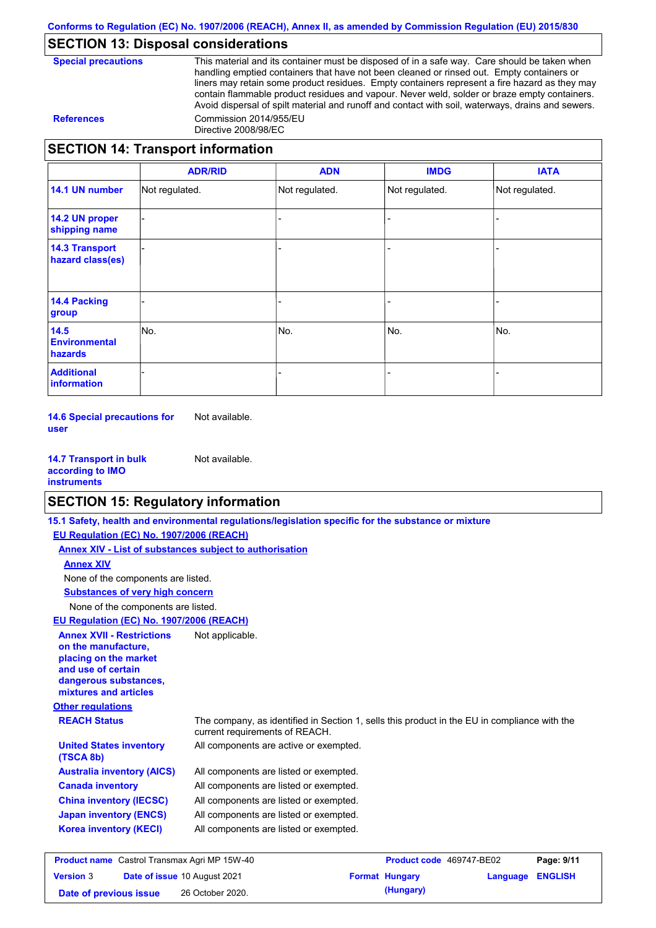## **SECTION 13: Disposal considerations**

| <b>Special precautions</b> |
|----------------------------|
|----------------------------|

This material and its container must be disposed of in a safe way. Care should be taken when handling emptied containers that have not been cleaned or rinsed out. Empty containers or liners may retain some product residues. Empty containers represent a fire hazard as they may contain flammable product residues and vapour. Never weld, solder or braze empty containers. Avoid dispersal of spilt material and runoff and contact with soil, waterways, drains and sewers. **References** Commission 2014/955/EU Directive 2008/98/EC

## **SECTION 14: Transport information**

|                                           | <b>ADR/RID</b> | <b>ADN</b>     | <b>IMDG</b>    | <b>IATA</b>    |
|-------------------------------------------|----------------|----------------|----------------|----------------|
| 14.1 UN number                            | Not regulated. | Not regulated. | Not regulated. | Not regulated. |
| 14.2 UN proper<br>shipping name           |                |                |                |                |
| <b>14.3 Transport</b><br>hazard class(es) |                |                |                |                |
| <b>14.4 Packing</b><br>group              |                |                |                |                |
| 14.5<br><b>Environmental</b><br>hazards   | No.            | No.            | No.            | No.            |
| <b>Additional</b><br>information          |                |                |                |                |

**14.6 Special precautions for user** Not available.

**14.7 Transport in bulk according to IMO instruments** Not available.

## **SECTION 15: Regulatory information**

|                                                                                                                                                          | 15.1 Safety, health and environmental regulations/legislation specific for the substance or mixture                            |                          |          |                |
|----------------------------------------------------------------------------------------------------------------------------------------------------------|--------------------------------------------------------------------------------------------------------------------------------|--------------------------|----------|----------------|
| EU Regulation (EC) No. 1907/2006 (REACH)                                                                                                                 |                                                                                                                                |                          |          |                |
| <b>Annex XIV - List of substances subject to authorisation</b>                                                                                           |                                                                                                                                |                          |          |                |
| <b>Annex XIV</b>                                                                                                                                         |                                                                                                                                |                          |          |                |
| None of the components are listed.                                                                                                                       |                                                                                                                                |                          |          |                |
| <b>Substances of very high concern</b>                                                                                                                   |                                                                                                                                |                          |          |                |
| None of the components are listed.                                                                                                                       |                                                                                                                                |                          |          |                |
| EU Regulation (EC) No. 1907/2006 (REACH)                                                                                                                 |                                                                                                                                |                          |          |                |
| <b>Annex XVII - Restrictions</b><br>on the manufacture.<br>placing on the market<br>and use of certain<br>dangerous substances,<br>mixtures and articles | Not applicable.                                                                                                                |                          |          |                |
| <b>Other regulations</b>                                                                                                                                 |                                                                                                                                |                          |          |                |
| <b>REACH Status</b>                                                                                                                                      | The company, as identified in Section 1, sells this product in the EU in compliance with the<br>current requirements of REACH. |                          |          |                |
| <b>United States inventory</b><br>(TSCA 8b)                                                                                                              | All components are active or exempted.                                                                                         |                          |          |                |
| <b>Australia inventory (AICS)</b>                                                                                                                        | All components are listed or exempted.                                                                                         |                          |          |                |
| <b>Canada inventory</b>                                                                                                                                  | All components are listed or exempted.                                                                                         |                          |          |                |
| <b>China inventory (IECSC)</b>                                                                                                                           | All components are listed or exempted.                                                                                         |                          |          |                |
| <b>Japan inventory (ENCS)</b>                                                                                                                            | All components are listed or exempted.                                                                                         |                          |          |                |
| <b>Korea inventory (KECI)</b>                                                                                                                            | All components are listed or exempted.                                                                                         |                          |          |                |
| <b>Product name</b> Castrol Transmax Agri MP 15W-40                                                                                                      |                                                                                                                                | Product code 469747-BE02 |          | Page: 9/11     |
| Date of issue 10 August 2021<br><b>Version 3</b>                                                                                                         |                                                                                                                                | <b>Format Hungary</b>    | Language | <b>ENGLISH</b> |

**Date of previous issue (Hungary)** 26 October 2020.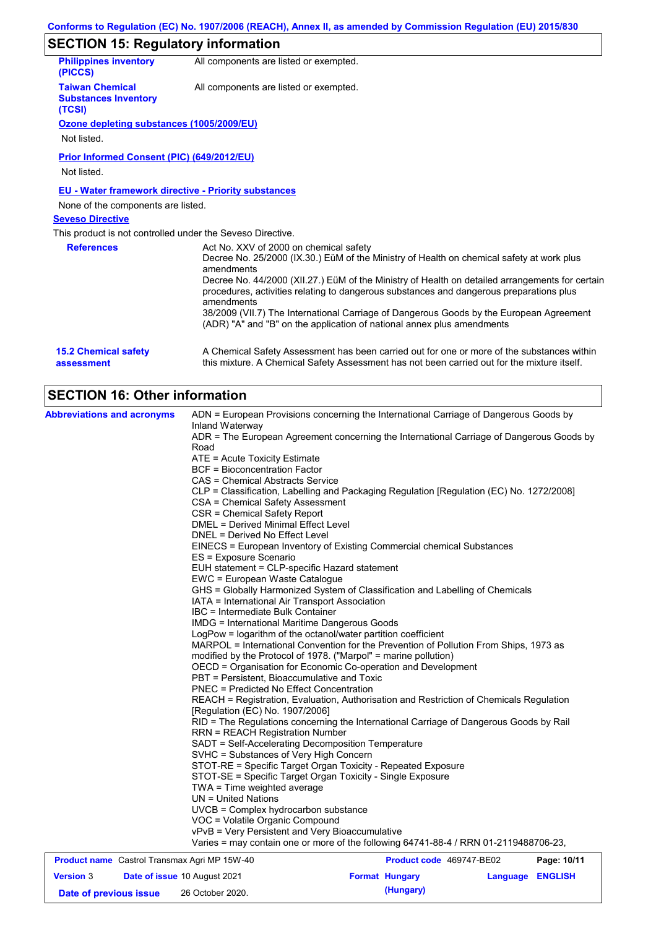# **SECTION 15: Regulatory information**

| <b>Philippines inventory</b><br>(PICCS)                         | All components are listed or exempted.                                                                                                                                                                   |
|-----------------------------------------------------------------|----------------------------------------------------------------------------------------------------------------------------------------------------------------------------------------------------------|
| <b>Taiwan Chemical</b><br><b>Substances Inventory</b><br>(TCSI) | All components are listed or exempted.                                                                                                                                                                   |
| Ozone depleting substances (1005/2009/EU)                       |                                                                                                                                                                                                          |
| Not listed.                                                     |                                                                                                                                                                                                          |
| <b>Prior Informed Consent (PIC) (649/2012/EU)</b>               |                                                                                                                                                                                                          |
| Not listed.                                                     |                                                                                                                                                                                                          |
| EU - Water framework directive - Priority substances            |                                                                                                                                                                                                          |
| None of the components are listed.                              |                                                                                                                                                                                                          |
| <b>Seveso Directive</b>                                         |                                                                                                                                                                                                          |
| This product is not controlled under the Seveso Directive.      |                                                                                                                                                                                                          |
| <b>References</b>                                               | Act No. XXV of 2000 on chemical safety<br>Decree No. 25/2000 (IX.30.) EüM of the Ministry of Health on chemical safety at work plus<br>amendments                                                        |
|                                                                 | Decree No. 44/2000 (XII.27.) EüM of the Ministry of Health on detailed arrangements for certain<br>procedures, activities relating to dangerous substances and dangerous preparations plus<br>amendments |
|                                                                 | 38/2009 (VII.7) The International Carriage of Dangerous Goods by the European Agreement<br>(ADR) "A" and "B" on the application of national annex plus amendments                                        |
| <b>15.2 Chemical safety</b><br>assessment                       | A Chemical Safety Assessment has been carried out for one or more of the substances within<br>this mixture. A Chemical Safety Assessment has not been carried out for the mixture itself.                |

# **SECTION 16: Other information**

| <b>Abbreviations and acronyms</b>                   | ADN = European Provisions concerning the International Carriage of Dangerous Goods by                       |                          |             |
|-----------------------------------------------------|-------------------------------------------------------------------------------------------------------------|--------------------------|-------------|
|                                                     | Inland Waterway<br>ADR = The European Agreement concerning the International Carriage of Dangerous Goods by |                          |             |
|                                                     | Road                                                                                                        |                          |             |
|                                                     | ATE = Acute Toxicity Estimate                                                                               |                          |             |
|                                                     | <b>BCF</b> = Bioconcentration Factor                                                                        |                          |             |
|                                                     | CAS = Chemical Abstracts Service                                                                            |                          |             |
|                                                     | CLP = Classification, Labelling and Packaging Regulation [Regulation (EC) No. 1272/2008]                    |                          |             |
|                                                     | CSA = Chemical Safety Assessment                                                                            |                          |             |
|                                                     | CSR = Chemical Safety Report                                                                                |                          |             |
|                                                     | DMEL = Derived Minimal Effect Level                                                                         |                          |             |
|                                                     | DNEL = Derived No Effect Level                                                                              |                          |             |
|                                                     | EINECS = European Inventory of Existing Commercial chemical Substances                                      |                          |             |
|                                                     | ES = Exposure Scenario                                                                                      |                          |             |
|                                                     | EUH statement = CLP-specific Hazard statement                                                               |                          |             |
|                                                     | EWC = European Waste Catalogue                                                                              |                          |             |
|                                                     | GHS = Globally Harmonized System of Classification and Labelling of Chemicals                               |                          |             |
|                                                     | IATA = International Air Transport Association                                                              |                          |             |
|                                                     | IBC = Intermediate Bulk Container                                                                           |                          |             |
|                                                     | IMDG = International Maritime Dangerous Goods                                                               |                          |             |
|                                                     | LogPow = logarithm of the octanol/water partition coefficient                                               |                          |             |
|                                                     | MARPOL = International Convention for the Prevention of Pollution From Ships, 1973 as                       |                          |             |
|                                                     | modified by the Protocol of 1978. ("Marpol" = marine pollution)                                             |                          |             |
|                                                     | OECD = Organisation for Economic Co-operation and Development                                               |                          |             |
|                                                     | PBT = Persistent, Bioaccumulative and Toxic                                                                 |                          |             |
|                                                     | <b>PNEC = Predicted No Effect Concentration</b>                                                             |                          |             |
|                                                     | REACH = Registration, Evaluation, Authorisation and Restriction of Chemicals Regulation                     |                          |             |
|                                                     | [Requlation (EC) No. 1907/2006]                                                                             |                          |             |
|                                                     | RID = The Regulations concerning the International Carriage of Dangerous Goods by Rail                      |                          |             |
|                                                     | <b>RRN = REACH Registration Number</b>                                                                      |                          |             |
|                                                     | SADT = Self-Accelerating Decomposition Temperature                                                          |                          |             |
|                                                     | SVHC = Substances of Very High Concern<br>STOT-RE = Specific Target Organ Toxicity - Repeated Exposure      |                          |             |
|                                                     | STOT-SE = Specific Target Organ Toxicity - Single Exposure                                                  |                          |             |
|                                                     | TWA = Time weighted average                                                                                 |                          |             |
|                                                     | $UN = United Nations$                                                                                       |                          |             |
|                                                     | UVCB = Complex hydrocarbon substance                                                                        |                          |             |
|                                                     | VOC = Volatile Organic Compound                                                                             |                          |             |
|                                                     | vPvB = Very Persistent and Very Bioaccumulative                                                             |                          |             |
|                                                     | Varies = may contain one or more of the following 64741-88-4 / RRN 01-2119488706-23,                        |                          |             |
| <b>Product name</b> Castrol Transmax Agri MP 15W-40 |                                                                                                             | Product code 469747-BE02 | Page: 10/11 |

| <b>Product name</b> Castrol Fransmax Agri MP 1500-40 |  |                                     | <b>Product code</b> 409/4/-BEUZ | Page: 10/11             |  |
|------------------------------------------------------|--|-------------------------------------|---------------------------------|-------------------------|--|
| <b>Version 3</b>                                     |  | <b>Date of issue 10 August 2021</b> | <b>Format Hungary</b>           | <b>Language ENGLISH</b> |  |
| Date of previous issue                               |  | 26 October 2020.                    | (Hungary)                       |                         |  |